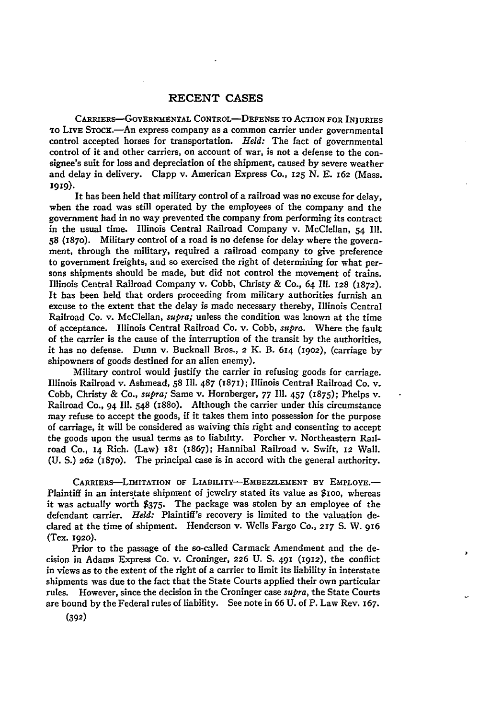CARRIERs-GOVERNMENTAL CONTROL-DEFENSE TO ACTION **FOR** INJURIES TO LIVE STOCK.-An express company as a common carrier under governmental control accepted horses for transportation. *Held:* The fact of governmental control of it and other carriers, on account of war, is not a defense to the consignee's suit for loss and depreciation **of** the shipment, caused **by** severe weather and delay in delivery. Clapp v. American Express Co., **125 N. E. 162** (Mass. **1919).**

It has been held that military control of a railroad was no excuse for delay, when the road was still operated **by** the employees of the company and the government had in no way prevented the company from performing its contract in the usual time. Illinois Central Railroad Company v. McClellan, 54 I1. **58** (1870). Military control of a road is no defense for delay where the government, through the military, required a railroad company to give preference to government freights, and so exercised the right of determining for what persons shipments should be made, but did not control the movement of trains. Illinois Central Railroad Company v. Cobb, Christy **&** Co., 64 **Ill. 128 (1872).** It has been held that orders proceeding from military authorities furnish an excuse to the extent that the delay is made necessary thereby, Illinois Central Railroad Co. v. McClellan, *supra;* unless the condition was known at the time of acceptance. Illinois Central Railroad Co. v. Cobb, *supra.* Where the fault of the carrier is the cause of the interruption of the transit **by** the authorities, it has no defense. Dunn v. Bucknall Bros., **2** K. B. **614 (1902),** (carriage by shipowners of goods destined for an alien enemy).

Military control would justify the carrier in refusing goods for carriage. Illinois Railroad v. Ashmead, **58 Ill. 487** (1871); Illinois Central Railroad Co. v. Cobb, Christy **&** Co., *supra;* Same v. Hornberger, **77 Ill.** 457 **(1875);** Phelps v. Railroad **Co.,** 94 **Ill.** 548 (188o). Although the carrier under this circumstance may refuse to accept the goods, if it takes them into possession for the purpose of carriage, it will be considered as waiving this right and consenting to accept the goods upon the usual terms as to liability. Porcher v. Northeastern Railroad Co., 14 Rich. (Law) **181** (1867); Hannibal Railroad v. Swift, **12** Wall. **(U. S.) 262 (1870).** The principal case is in accord with the general authority.

**CARRIERS-LIMITATION** OF **LIABILITY-EMBEZZLEMENT** BY EMPLOYE.- Plaintiff in an interstate shipment of jewelry stated its value as **\$ioo,** whereas it was actually worth **\$375.** The package was stolen **by** an employee of the defendant carrier. *Held:* Plaintiff's recovery is limited to the valuation declared at the time of shipment. Henderson v. Wells Fargo **Co., 217 S.** W. **916** (Tex. **1920).**

Prior to the passage of the so-called Carmack Amendment and the decision in Adams Express Co. v. Croninger, **226 U. S. 491 (1912),** the conflict in views as to the extent of the right of a carrier to limit its liability in interstate shipments was due to the fact that the State Courts applied their own particular rules. However, since the decision in the Croninger case *supra,* the State Courts are bound **by** the Federal rules of liability. See note in 66 U. of P. Law Rev. **167.**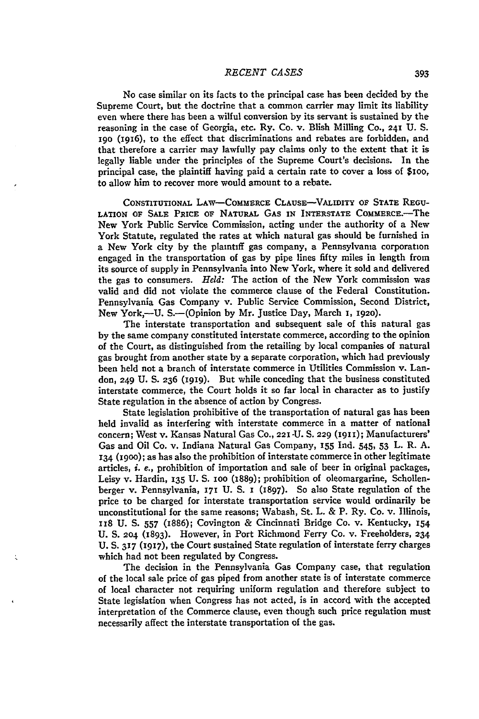No case similar on its facts to the principal case has been decided **by** the Supreme Court, but the doctrine that a common carrier may limit its liability even where there has been a wilful conversion **by** its servant is sustained **by** the reasoning in the case of Georgia, etc. Ry. Co. v. Blish Milling Co., **241** U. S. **I9o (1916),** to the effect that discriminations and rebates are forbidden, and that therefore a carrier may lawfully pay claims only to the extent that it is legally liable under the principles of the Supreme Court's decisions. In the principal case, the plaintiff having paid a certain rate to cover a loss of \$ioo, to allow him to recover more would amount to a rebate.

**CONSTITUTIONAL** LAw-CoMMERcE **CLAUSE-VALIDITY OF STATE REGU-LATION OF SALE PRICE OF NATURAL GAS IN INTERSTATE COMMERcE.-The** New York Public Service Commission, acting under the authority of a New York Statute, regulated the rates at which natural gas should be furnished in a New York city by the **plaintlff** gas company, a Pennsylvania corporation engaged in the transportation of gas by pipe lines fifty miles in length from its source of supply in Pennsylvania into New York, where it sold and delivered the gas to consumers. *Held:* The action of the New York commission was valid and did not violate the commerce clause of the Federal Constitution. Pennsylvania Gas Company v. Public Service Commission, Second District, New York,-U. S.-(Opinion by Mr. Justice Day, March **I,** 1920).

The interstate transportation and subsequent sale of this natural gas by the same company constituted interstate commerce, according to the opinion of the Court, as distinguished from the retailing by local companies of natural gas brought from another state by a separate corporation, which had previously been held not a branch of interstate commerce in Utilities Commission v. Landon, 249 U. **S. 236 (1919).** But while conceding that the business constituted interstate commerce, the Court holds it so far local in character as to justify State regulation in the absence of action by Congress.

State legislation prohibitive of the transportation of natural gas has been held invalid as interfering with interstate commerce in a matter of national concern; West v. Kansas Natural Gas Co., 221 -U. **S.** 229 **(1911);** Manufacturers' Gas and Oil Co. v. Indiana Natural Gas Company, **155** Ind. 545, 53 L. R. A. **134** (i9oo); as has also the prohibition of interstate commerce in other legitimate articles, *i.* e., prohibition of importation and sale of beer in original packages, Leisy v. Hardin, **135** U. **S.** ioo (1889); prohibition of oleomargarine, Schollenberger v. Pennsylvania, 171 U. S. I (1897). So also State regulation of the price to be charged for interstate transportation service would ordinarily be unconstitutional for the same reasons; Wabash, St. L. & P. Ry. Co. v. Illinois, **i8** U. **S.** *557* (1886); Covington & Cincinnati Bridge Co. v. Kentucky, **154** U. **S. 204** (1893). However, in Port Richmond Ferry Co. v. Freeholders, **234** U. **S. 317** (1917), the Court sustained State regulation of interstate ferry charges which had not been regulated by Congress.

The decision in the Pennsylvania Gas Company case, that regulation of the local sale price of gas piped from another state is of interstate commerce of local character not requiring uniform regulation and therefore subject to State legislation when Congress has not acted, is in accord with the accepted interpretation of the Commerce clause, even though such price regulation must necessarily affect the interstate transportation of the gas.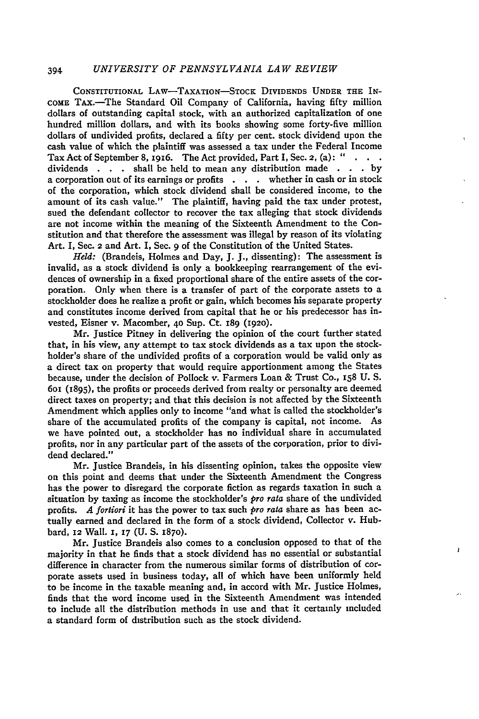# 394 *UNIVERSITY OF PENNSYLVANIA LAW REVIEW*

**CONSTITUTIONAL** LAw-TAXATION-STOCK **DIVIDENDS UNDER** *THE* IN-COME TAx.-The Standard Oil Company of California, having **fifty** million dollars of outstanding capital stock, with an authorized capitalization of one hundred million dollars, and with its books showing some forty-five million dollars of undivided profits, declared a fifty per cent. stock dividend upon the cash value of which the plaintiff was assessed a tax under the Federal Income Tax Act of September **8, 1916.** The Act provided, Part **I,** Sec. **2,** (a): " dividends **. .** shall be held to mean any distribution made **. . . by** a corporation out of its earnings or profits **. . .** whether in cash or in stock of the corporation, which stock dividend shall be considered income, to the amount of its cash value." The plaintiff, having paid the tax under protest, sued the defendant collector to recover the tax alleging that stock dividends are not income within the meaning of the Sixteenth Amendment to the Constitution and that therefore the assessment was illegal **by** reason of its violating Art. **I,** Sec. **2** and Art. I, Sec. 9 of the Constitution of the United States.

*Held:* (Brandeis, Holmes and Day, **J. J.,** dissenting): The assessment is invalid, as a stock dividend is only a bookkeeping rearrangement of the evidences of ownership in a fixed proportional share of the entire assets of the corporation. Only when there is a transfer of part of the corporate assets to a stockholder does he realize a profit or gain, which becomes his separate property and constitutes income derived from capital that he or his predecessor has invested, Eisner v. Macomber, **4o** Sup. Ct. 189 **(1920).**

Mr. Justice Pitney in delivering the opinion of the court further stated that, in his view, any attempt to tax stock dividends as a tax upon the stockholder's share of the undivided profits of a corporation would be valid only as a direct tax on property that would require apportionment among the States because, under the decision of Pollock v. Farmers Loan **&** Trust Co., **x58 U. S.** 6oi (1895), the profits or proceeds derived from realty or personalty are deemed direct taxes on property; and that this decision is not affected **by** the Sixteenth Amendment which applies only to income "and what is called the stockholder's share of the accumulated profits of the company is capital, not income. As we have pointed out, a stockholder has no individual share in accumulated profits, nor in any particular part of the assets of the corporation, prior to dividend declared."

Mr. Justice Brandeis, in his dissenting opinion, takes the opposite view on this point and deems that under the Sixteenth Amendment the Congress has the power to disregard the corporate fiction as regards taxation in such a situation **by** taxing as income the stockholder's *pro rata* share of the undivided profits. *A fortiori* it has the power to tax such *pro rata* share as has been actually earned and declared in the form of a stock dividend, Collector v. Hubbard, **12** Wall. **I, 17 (U. S. 1870).**

Mr. Justice Brandeis also comes to a conclusion opposed to that of the majority in that he finds that a stock dividend has no essential or substantial difference in character from the numerous similar forms of distribution of corporate assets used in business today, all of which have been uniformly held to be income in the taxable meaning and, in accord with Mr. Justice Holmes, finds that the word income used in the Sixteenth Amendment was intended to include all the distribution methods in use and that it certainly included a standard form of distribution such as the stock dividend.

Ï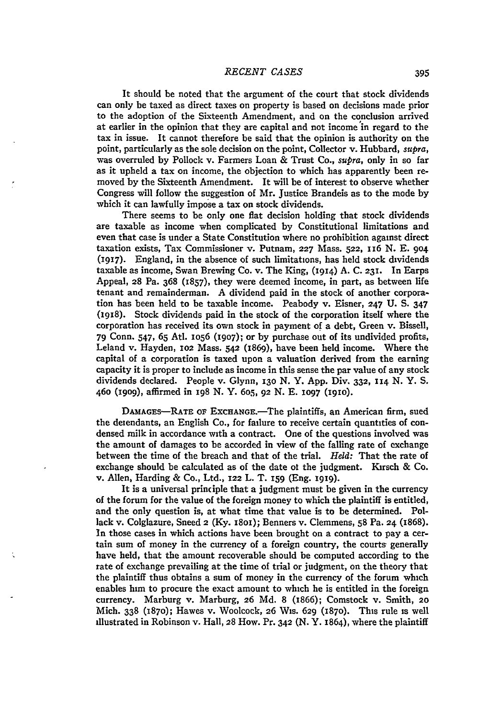It should be noted that the argument of the court that stock dividends can only be taxed as direct taxes on property is based on decisions made prior to the adoption of the Sixteenth Amendment, and on the conclusion arrived at earlier in the opinion that they are capital and not income in regard to the tax in issue. It cannot therefore be said that the opinion is authority on the point, particularly as the sole decision on the point, Collector v. Hubbard, *supra,* was overruled by Pollock v. Farmers Loan & Trust Co., *supra,* only in so far as it upheld a tax on income, the objection to which has apparently been re- moved by the Sixteenth Amendment. It will be of interest to observe whether Congress will follow the suggestion of Mr. Justice Brandeis as to the mode by which it can lawfully impose a tax on stock dividends.

There seems to be only one flat decision holding that stock dividends are taxable as income when complicated by Constitutional limitations and even that case is under a State Constitution where no prohibition against direct taxation exists, Tax Commissioner v. Putnam, **227** Mass. **522, 116** N. E. 9o4 **(1917).** England, in the absence of such limitations, has held stock dividends taxable as income, Swan Brewing Co. v. The King, (1914) A. C. 231. In Earps Appeal, 28 Pa. 368 (1857), they were deemed income, in part, as between life tenant and remainderman. A dividend paid in the stock of another corporation has been held to be taxable income. Peabody v. Eisner, **247 U.** S. 347 (1918). Stock dividends paid in the stock of the corporation itself where the corporation has received its own stock in payment of a debt, Green v. Bissell, **79** Conn. 547, **65** Atl. io56 **(1907);** or by purchase out of its undivided profits, Leland v. Hayden, **102** Mass. **542** (1869), have been held income. Where the capital of a corporation is taxed upon a valuation derived from the earning capacity it is proper to include as income in this sense the par value of any stock dividends declared. People v. Glynn, 13o N. Y. App. Div. **332,** 114 N. Y. S. 46o **(19o9),** affirmed in 198 N. Y. 6o5, **92** N. **E. 1097** (1910).

DAMAGES-RATE **OF** EXCHANGE.-The plaintiffs, an American firm, sued the deiendants, an English Co., for failure to receive certain quantities of condensed milk in accordance with a contract. One of the questions involved was the amount of damages to be accorded in view of the falling rate of exchange between the time of the breach and that of the trial. *Held:* That the rate of exchange should be calculated as of the date of the judgment. Kirsch  $\&$  Co. v. Allen, Harding & Co., Ltd., **122** L. T. **I59** (Eng. x919).

It is a universal principle that a judgment must be given in the currency **of** the forum for the value of the foreign money to which the plaintiff is entitled, and the only question is, at what time that value is to be determined. Pollack v. Colglazure, Sneed **2** (Ky. **I8OI);** Benners v. Clemmens, **58** Pa. **24** (1868). In those cases in which actions have been brought on a contract to pay a certain sum of money in the currency of a foreign country, the courts generally have held, that the amount recoverable should be computed according to the rate of exchange prevailing at the time of trial or judgment, on the theory that the plaintiff thus obtains a sum of money in the currency of the forum which enables him to procure the exact amount to which he is entitled in the foreign currency. Marburg v. Marburg, **26** Md. 8 (1866); Comstock v. Smith, **20** Mich. **338 (1870);** Hawes v. Woolcock, 26 Wis. **629** (1870). This rule is well illustrated in Robinson v. Hall, **28** How. Pr. **342** (N. Y. 1864), where the plaintiff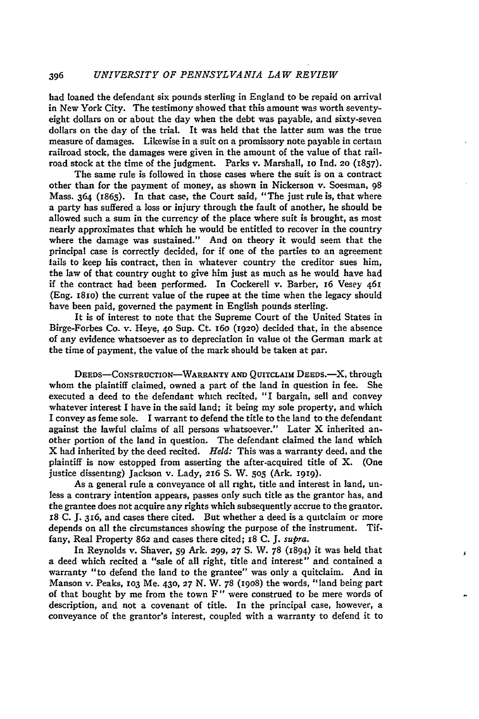had loaned the defendant six pounds sterling in England to be repaid on arrival in New York City. The testimony showed that this amount was worth seventyeight dollars on or about the day when the debt was payable, and sixty-seven dollars on the day of the trial. It was held that the latter sum was the true measure of damages. Likewise in a suit on a promissory note payable in certain railroad stock, the damages were given in the amount of the value of that railroad stock at the time of the judgment. Parks v. Marshall, io Ind. **20** (1857).

The same rule is followed in those cases where the suit is on a contract other than for the payment of money, as shown in Nickerson v. Soesman, 98 Mass. 364 (1865). In that case, the Court said, "The just rule is, that where a party has suffered a loss or injury through the fault of another, he should be allowed such a sum in the currency of the place where suit is brought, as most nearly approximates that which he would be entitled to recover in the country where the damage was sustained." And on theory it would seem that the principal case is correctly decided, for if one of the parties to an agreement fails to keep his contract, then in whatever country the creditor sues him, the law of that country ought to give him just as much as he would have had if the contract had been performed. In Cockerell v. Barber, 16 Vesey 46r (Eng. 18io) the current value of the rupee at the time when the legacy should have been paid, governed the payment in English pounds sterling.

It is of interest to note that the Supreme Court of the United States in Birge-Forbes Co. v. Heye, **40** Sup. Ct. 16o (192o) decided that, in the absence of any evidence whatsoever as to depreciation in value ot the German mark at the time of payment, the value of the mark should be taken at par.

DEEDS-CONSTRUCTION-WARRANTY AND QUITCLAIM DEEDS.<sup>-</sup>X, through whom the plaintiff claimed, owned a part of the land in question in fee. She executed a deed to the defendant which recited, "I bargain, sell and convey whatever interest I have in the said land; it being my sole property, and which I convey as feme sole. I warrant to defend the title to the land to the defendant against the lawful claims of all persons whatsoever." Later X inherited another portion of the land in question. The defendant claimed the land which X had inherited **by** the deed recited. *Held:* This was a warranty deed, and the plaintiff is now estopped from asserting the after-acquired title of X. (One justice dissenting) Jackson v. Lady, 216 **S.** W. **505** (Ark. **1919).**

As a general rule a conveyance of all right, title and interest in land, unless a contrary intention appears, passes only such title as the grantor has, and the grantee does not acquire any rights which subsequently accrue to the grantor. *r8* C. J. **316,** and cases there cited. But whether a deed is a quitclaim or more depends on all the circumstances showing the purpose of the instrument. Tiffany, Real Property 862 and cases there cited; 18 **C.** *J. supra.*

In Reynolds v. Shaver, *59* Ark. 299, **27 S.** W. 78 (1894) it was held that a deed which recited a "sale of all right, title and interest" and contained a warranty "to defend the land to the grantee" was only a quitclaim. And in Manson v. Peaks, **io3** Me. 430, **27** N. W. 78 **(i908)** the words, "land being part of that bought by me from the town F" were construed to be mere words of description, and not a covenant of title. In the principal case, however, a conveyance of the grantor's interest, coupled with a warranty to defend it to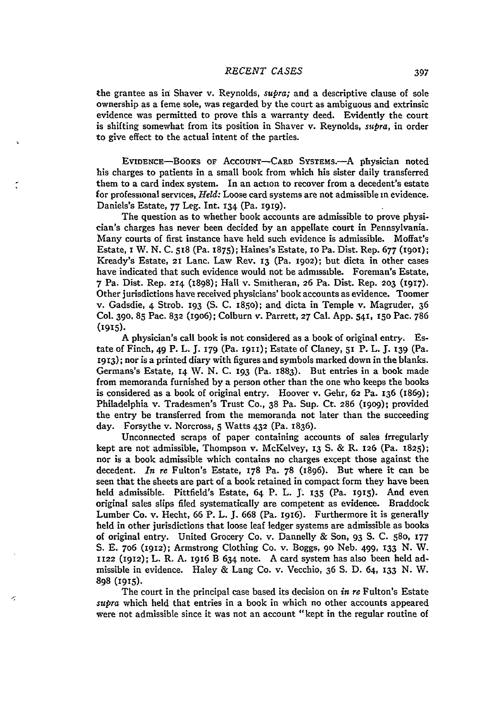the grantee as in Shaver v. Reynolds, *supra;* and a descriptive clause of sole ownership as a feme sole, was regarded by the court as ambiguous and extrinsic evidence was permitted to prove this a warranty deed. Evidently the court is shifting somewhat from its position in Shaver v. Reynolds, *supra,* in order to give effect to the actual intent of the parties.

EviDENcE-Booxs **OF** AccOUNT-CARD SYSTEMS.-A physician noted his charges to patients in a small book from which his sister daily transferred them to a card index system. In an action to recover from a decedent's estate for professional services, *Held:* Loose card systems are not admissible in evidence. Daniels's Estate, 77 Leg. Int. 134 (Pa. **i919).**

The question as to whether book accounts are admissible to prove physician's charges has never been decided by an appellate court in Pennsylvania. Many courts of first instance have held such evidence is admissible. Moffat's Estate, i W. N. C. 518 (Pa. 1875); Haines's Estate, io Pa. Dist. Rep. 677 (19or); Kready's Estate, **21** Lanc. Law Rev. 13 (Pa. **1902);** but dicta in other cases have indicated that such evidence would not be admissible. Foreman's Estate, 7 Pa. Dist. Rep. **2r4** (1898); Hall v. Smitheran, **26** Pa. Dist. Rep. **203** (1917). Other jurisdictions have received physicians' book accounts as evidence. Toomer v. Gadsdie, 4 Strob. **I93** (S. C. 185o); and dicta in Temple v. Magruder, 36 Col. **390. 85** Pac. 832 (i9o6); Colburn v. Parrett, **27** Cal. App. 541, **15o** Pac. 786 (1915).

A physician's call book is not considered as a book of original entry. Estate of Finch, 49 P. L. **J. 179** (Pa. **i9II);** Estate of Claney, **51** P. L. **f. 139** (Pa. i913); nor is a printed diary with figures and symbols marked down in the blanks. Germans's Estate, **14 V. N.** C. **193** (Pa. 1883). But entries in a book made from memoranda furnished by a person other than the one who keeps the books is considered as a book of original entry. Hoover v. Gehr, **62** Pa. **136** (1869); Philadelphia v. Tradesmen's Trust Co., 38 Pa. Sup. Ct. **286 (I909);** provided the entry be transferred from the memoranda not later than the succeeding day. Forsythe v. Norcross, 5 Watts 432 (Pa. 1836).

Unconnected scraps of paper containing accounts of sales Irregularly kept are not admissible, Thompson v. McKelvey, **13 S. &** R. **126** (Pa. 1825); nor is a book admissible which contains no charges except those against the decedent. *In re* Fulton's Estate, **178** Pa. 78 (1896). But where it can be seen that the sheets are part of a book retained in compact form they have been held admissible. Pittfield's Estate, 64 P. L. **J. 135** (Pa. **i915).** And even original sales slips filed systematically are competent as evidence. Braddock Lumber Co. v. Hecht, 66 P. L. **J.** 668 (Pa. I916). Furthermore it is generally held in other jurisdictions that loose leaf ledger systems are admissible as books of original entry. United Grocery Co. v. Dannelly & Son, 93 **S. C.** 580, **177** S. E. 7o6 **(1912);** Armstrong Clothing Co. v. Boggs, **9o** Neb. 499, **133** N. W. **1122 (1912);** L. R. A. **1916** B 634 note. A card system has also been held admissible in evidence. Haley & Lang Co. v. Vecchio, 36 **S.** D. 64, **133** N. W. 898 **(1915).**

The court in the principal case based its decision on *in re* Fulton's Estate *supra* which held that entries in a book in which no other accounts appeared were not admissible since it was not an account "kept in the regular routine of

ぶ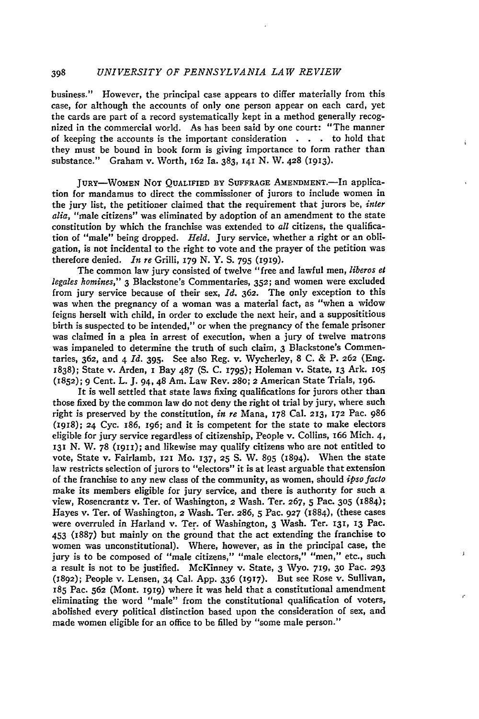#### 398 *UNIVERSITY OF PENNSYLVANIA LAW REVIEW*

business." However, the principal case appears to differ materially from this case, for although the accounts of only one person appear on each card, yet the cards are part of a record systematically kept in a method generally recognized in the commercial world. As has been said by one court: "The manner of keeping the accounts is the important consideration **. .** . to hold that they must be bound in book form is giving importance to form rather than substance." Graham v. Worth, 162 Ia. 383, **141** N. W. 428 **(1913).**

 $\bar{\mathbf{t}}$ 

JURY-WOMEN **NOT QUALIFIED BY SUFFRAGE** AMENDMENT.-In application for mandamus to direct the commissioner of jurors to include women in the jury list, the petitioner claimed that the requirement that jurors be, *inter alia,* "male citizens" was eliminated by adoption of an amendment to the state constitution by which the franchise was extended to *all* citizens, the qualification of "male" being dropped. *Held.* Jury service, whether a right or an obligation, is not incidental to the right to vote and the prayer of the petition was therefore denied. *In re* Grilli, **179 N.** Y. **S. 795 (i919).**

The common law jury consisted of twelve "free and lawful men, *liberos et legales homines,"* **3** Blackstone's Commentaries, **352;** and women were excluded from jury service because of their sex, *Id.* **362.** The only exception to this was when the pregnancy of a woman was a material fact, as "when a widow feigns herself with child, in order to exclude the next heir, and a supposititious birth is suspected to be intended," or when the pregnancy of the female prisoner was claimed in a plea in arrest of execution, when a jury of twelve matrons was impaneled to determine the truth of such claim, **3** Blackstone's Commentaries, **362,** and 4 *Id.* **395.** See also Reg. v. Wycherley, 8 **C. &** P. **262** (Eng. **1838);** State v. Arden, I Bay **487 (S. C. 1795);** Holeman **v.** State, **13** Ark. **o5** (1852); **9** Cent. L. **J.** 94, 48 Am. Law Rev. **280;** 2 American State Trials, **196.**

It is well settled that state laws fixing qualifications for jurors other than those fixed **by** the common law do not deny the right ot trial **by** jury, where such right is preserved **by** the constitution, *in re* Mana, **178** Cal. **213, 172** Pac. **986 (1918); 24** Cyc. 186, I96; and it is competent for the state to make electors eligible for jury service regardless of citizenship, People v. Collins, 166 Mich. 4, **13x N.** W. **78 (191i);** and likewise may qualify citizens who are not entitled to vote, State v. Fairlamb, **121** Mo. **137, 25 S.** W. **895 (1894).** When the state law restricts selection of jurors to "electors" it is at least arguable that extension of the franchise to any new class of the community, as women, should *ipso facto* make its members eligible for jury service, and there is authority for such a view, Rosencrantz v. Ter. of Washington, 2 Wash. Ter. **267, 5** Pac. **305 (1884);** Hayes v. Ter. of Washington, 2 Wash. Ter. **286, 5** Pac. **927** (1884), (these cases were overruled in Harland v. Ter. of Washington, **3** Wash. Ter. **131, 13** Pac. 453 (1887) but mainly on the ground that the act extending the franchise to women was unconstitutional). Where, however, as in the principal case, the jury is to be composed of "male citizens," "male electors," "men," etc., such a result is not to be justified. McKinney v. State, **3** Wyo. **719, 30** Pac. **293 (1892);** People v. Lensen, 34 Cal. **App. 336 (917).** But see Rose v. Sullivan, **r85** Pac. **562** (Mont. **i919)** where it was held that a constitutional amendment eliminating the word "male" from the constitutional qualification of voters, abolished every political distinction based upon the consideration of sex, and made women eligible for an office to be filled **by** "some male person."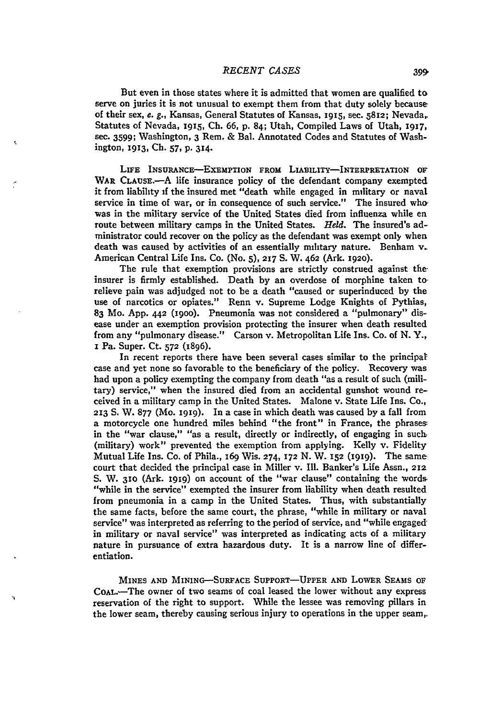But even in those states where it is admitted that women are qualified to serve on juries it is not unusual to exempt them from that duty solely because of their sex, e. **g.,** Kansas, General Statutes of Kansas, **1915,** sec. **5812;** Nevada,. Statutes of Nevada, I915, **Ch. 66, p.** 84; Utah, Compiled Laws of Utah, **1917, sec. 3599;** Washington, 3 Rem. **&** Bal. Annotated Codes and Statutes of Washington, **1913, Ch. 57,** P. **314.**

LIFE INSURANcE-ExEMPTION FROM LIABILITY-INTERPRETATION **OF** WAR CLAUSE.-A life insurance policy of the defendant company exempted it from liability if the insured met "death while engaged in military or naval service in time of war, or in consequence of such service." The insured who, was in the military service of the United States died from influenza while en route between military camps in the United States. *Held.* The insured's administrator could recover on the policy as the defendant was exempt only when death was caused **by** activities of an essentially military nature. Benham v. American Central Life Ins. Co. (No. **5), 217 S. W.** 462 (Ark. **1920).**

The rule that exemption provisions are strictly construed against theinsurer is firmly established. Death **by** an overdose of morphine taken to. relieve pain was adjudged not to be a death "caused or superinduced **by** the use of narcotics or opiates." Renn v. Supreme Lodge Knights of Pythias, **83** Mo. **App. 442 (1900).** Pneumonia was not considered a "pulmonary" disease under an exemption provision protecting the insurer when death resulted from any "pulmonary disease." Carson v. Metropolitan Life Ins. Co. of **N.** Y., I Pa. Super. Ct. **572** (1896).

In recent reports there have been several cases similar to the principat case and yet none so favorable to the beneficiary of the policy. Recovery was had upon a policy exempting the company from death "as a result of such (military) service," when the insured died from an accidental gunshot wound received in a military camp in the United States. Malone v. State Life Ins. Co., **213 S.** W. **877** (Mo. 1919). In a case in which death was caused by a fall from a motorcycle one hundred miles behind "the front" in France, the phrases. in the "war clause," "as a result, directly or indirectly, of engaging in such. (military) work" prevented the exemption from applying. Kelly v. Fidelity Mutual Life Ins. Co. of Phila., 169 Wis. 274, 172 **N.** W. **152** (I919). The same court that decided the principal case in Miller v. Ill. Banker's Life Assn., 212 S. W. **3io** (Ark. **i919)** on account of the "war clause" containing the word& "while in the service" exempted the insurer from liability when death resulted from pneumonia in a camp in the United States. Thus, with substantially the same facts, before the same court, the phrase, "while in military or naval service" was interpreted as referring to the period of service, and "while engagedin military or naval service" was interpreted as indicating acts of a military nature in pursuance of extra hazardous duty. It is a narrow line of differentiation.

**MINES AND** MINING-SURFACE SUPPORT-UPPER AND LOWER **SEAMS** OF CoAL.--The owner of two seams of coal leased the lower without any express reservation of the right to support. While the lessee was removing pillars in the lower seam, thereby causing serious injury to operations in the upper seam,.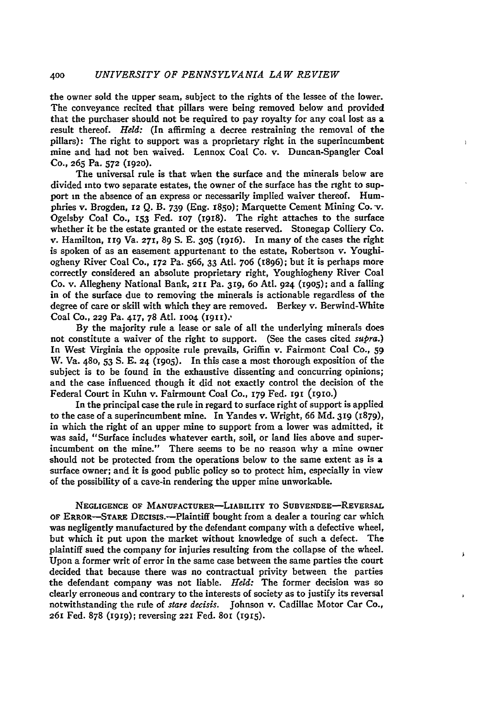the owner sold the upper seam, subject to the rights of the lessee of the lower. The conveyance recited that pillars were being removed below and provided that the purchaser should not be required to pay royalty for any coal lost as a result thereof. *Held:* (In affirming a decree restraining the removal of the pillars): The right to support was a proprietary right in the superincumbent mine and had not ben waived. Lennox Coal Co. v. Duncan-Spangler Coal **Co., 265** Pa. **572 (1920).**

<sup>1</sup>

The universal rule is that when the surface and the minerals below are divided into two separate estates, the owner of the surface has the right to support in the absence of an express or necessarily implied waiver thereof. Humphries v. Brogden, **r2 Q.** B. **739** (Eng. r850); Marquette Cement Mining Co. **-v.** Ogelsby Coal Co., I3 Fed. **107** (1918). The right attaches to the surface whether it be the estate granted or the estate reserved. Stonegap Colliery Co. v. Hamilton, irg Va. **271, 89 S. E. 305 (1916).** In many of the cases the right is spoken of as an easement appurtenant to the estate, Robertson v. Youghiogheny River Coal Co., **172** Pa. **566,** 33 Att. **7o6** (1896); but it is perhaps more correctly considered an absolute proprietary right, Youghiogheny River Coal Co. v. Allegheny National Bank, **211 Pa. 319, 6o** Atl. **924 (1905);** and a falling in of the surface due to removing the minerals is actionable regardless of the degree of care or skill with which they are removed. Berkey v. Berwind-White Coal **Co., 229 Pa. 417, 78** Atl. **0o4** (r91).'

**By** the majority rule a lease or sale of all the underlying minerals does not constitute a waiver of the right to support. (See the cases cited *supra.)* In West Virginia the opposite rule prevails, Griffin v. Fairmont Coal Co., **59** W. Va. 48o, 53 **S. E. 24 (19o5).** In this case a most thorough exposition of the subject is to be found in the exhaustive dissenting and concurring opinions; and the case influenced though it did not exactly control the decision of the Federal Court in Kuhn v. Fairmount Coal Co., **179** Fed. **x91 (i9io.)**

In the principal case the rule in regard to surface right of support is applied to the case of a superincumbent mine. In Yandes v. Wright, **66** Md. **319** (1879), in which the right of an upper mine to support from a lower was admitted, it was said, "Surface includes whatever earth, soil, or land lies above and superincumbent on the mine." There seems to be no reason why a mine owner should not be protected from the operations below to the same extent as is a surface owner; and it is good public policy so to protect him, especially in view of the possibility of a cave-in rendering the upper mine unworkable.

**NEGLIGENCE** OF MANUFACTURER-LIABILITY TO **SUBVENDEE-REVERSAL** OF ERROR-STARE DEcisIs.-Plaintiff bought from a dealer a touring car which was negligently manufactured **by** the defendant company with a defective wheel, but which it put upon the market without knowledge of such a defect. The plaintiff sued the company for injuries resulting from the collapse of the wheel. Upon a former writ of error in the same case between the same parties the court decided that because there was no contractual privity between the parties the defendant company was not liable. *Held:* The former decision was so clearly erroneous and contrary to the interests of society as to justify its reversal notwithstanding the rule of *stare decisis.* Johnson v. Cadillac Motor Car Co., 261 Fed. **878 (i919);** reversing **221** Fed. **8oi (1915).**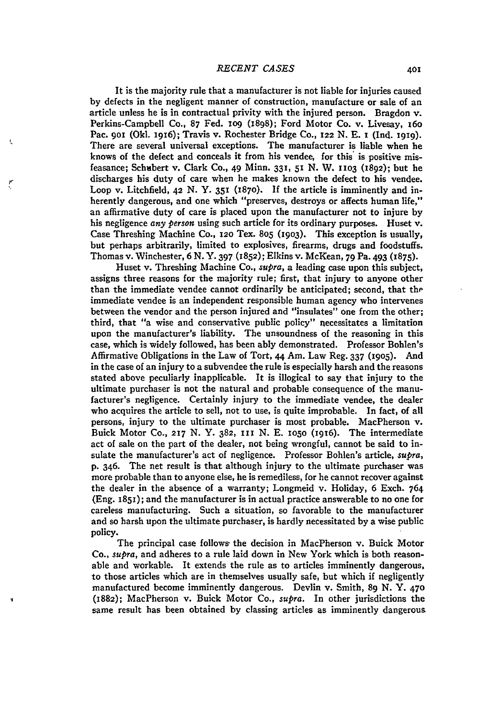It is the majority rule that a manufacturer is not liable for injuries caused **by** defects in the negligent manner of construction, manufacture or sale of an article unless he is in contractual privity with the injured person. Bragdon v. Perkins-Campbell **Co., 87** Fed. **io9** (1898); Ford Motor Co. v. Livesay, x6o Pac. 901 (Okl. 1916); Travis v. Rochester Bridge Co., 122 N. E. 1 (Ind. 1919). There are several universal exceptions. The manufacturer is liable when he knows of the defect and conceals it from his vendee, for this is positive misfeasance; Schubert v. Clark **Co.,** 49 Minn. **331,** 51 **N.** W. **1103 (1892);** but he discharges his duty of care when he makes known the defect to his vendee. Loop v. Litchfield, **42 N.** Y. **351 (1870). If** the article is imminently and inherently dangerous, and one which "preserves, destroys or affects human life," an affirmative duty of care is placed upon the manufacturer not to injure **by** his negligence *any person* using such article for its ordinary purposes. Huset v. Case Threshing Machine Co., *12o* Tex. **805 (19o3).** This exception is usually, but perhaps arbitrarily, limited to explosives, firearms, drugs and foodstuffs. Thomas v. Winchester, **6 N. Y. 397 (1852);** Elkins v. McKean, **79** Pa. 493 **(1875).**

Huset v. Threshing Machine Co., *supra,* a leading case upon this subject, assigns three reasons for the majority rule; first, that injury to anyone other than the immediate vendee cannot ordinarily be anticipated; second, that the immediate vendee is an independent responsible human agency who intervenes between the vendor and the person injured and "insulates" one from the other; third, that "a wise and conservative public policy" necessitates a limitation upon the manufacturer's liability. The unsoundness of the reasoning in this case, which is widely followed, has been ably demonstrated. Professor Bohlen's Affirmative Obligations in the Law of Tort, **44** Am. Law Reg. **337 (19o5).** And in the case of an injury to a subvendee the rule is especially harsh and the reasons stated above peculiarly inapplicable. It is illogical to say that injury to the ultimate purchaser is not the natural and probable consequence of the manufacturer's negligence. Certainly injury to the immediate vendee, the dealer who acquires the article to sell, not to use, is quite improbable. In fact, of all persons, injury to the ultimate purchaser is most probable. MacPherson v. Buick Motor **Co., 217 N. Y. 382,** 11 **N. E. io5o** (i9i6). The intermediate act of sale on the part of the dealer, not being wrongful, cannot be said to insulate the manufacturer's act of negligence. Professor Bohlen's article, *supra,* p. 346. The net result is that although injury to the ultimate purchaser was more probable than to anyone else, he is remediless, for he cannot recover against the dealer in the absence of a warranty; Longmeid v. Holiday, **6** Exch. 764 (Eng. **1851);** and the manufacturer is in actual practice answerable to no one for careless manufacturing. Such a situation, so favorable to the manufacturer and so harsh upon the ultimate purchaser, is hardly necessitated **by** a wise public policy.

The principal case follows the decision in MacPherson v. Buick Motor Co., *supra,* and adheres to a rule laid down in New York which is both reasonable and workable. It extends the rule as to articles imminently dangerous, to those articles which are in themselves usually safe, but which if negligently manufactured become imminently dangerous. Devlin v. Smith, **89 N.** Y. **47o (1882);** MacPherson v. Buick Motor Co., *supra.* In other jurisdictions the same result has been obtained **by** classing articles as imminently dangerous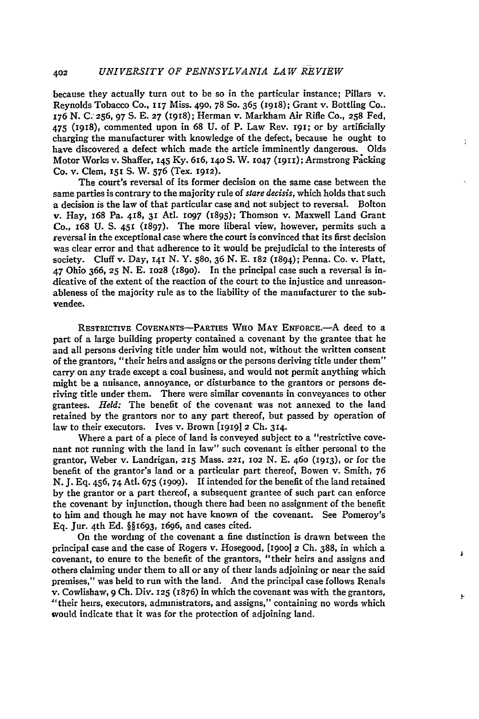because they actually turn out to be so in the particular instance; Pillars v. Reynolds Tobacco Co., **117** Miss. 490, 78 So. 365 **(I918);** Grant v. Bottling Co.. **176** N. C. **256,** 97 **S.** E. **27** (i918); Herman v. Markham Air Rifle Co., **258** Fed, 475 (1918), commented upon in 68 U. of P. Law Rev. **191;** or by artificially charging the manufacturer with knowledge of the defect, because he ought to have discovered a defect which made the article imminently dangerous. Olds Motor Works v. Shaffer, 145 **Ky.** 616, I4oS. W. **1047 (1911);** Armstrong Packing Co. v. Clem, **151 S.** W. **576** (Tex. **1912).**

÷

The court's reversal of its former decision on the same case between the same parties is contrary to the majority rule of *stare decisis,* which holds that such a decision is the law of that particular case and not subject to reversal. Bolton v. Hay, 168 Pa. 418, **31** Atl. **1097 (1895);** Thomson v. Maxwell Land Grant Co., 168 U. **S. 451 (1897).** The more liberal view, however, permits such a reversal in the exceptional case where the court is convinced that its first decision was clear error and that adherence to it would be prejudicial to the interests of society. Cluff v. Day, 141 N. Y. 58o, **36** N. E. 182 (1894); Penna. Co. v. Platt, 47 Ohio 366, **25** N. E. **1028 (189o).** In the principal case such a reversal is indicative of the extent of the reaction of the court to the injustice and unreasonableness of the majority rule as to the liability of the manufacturer to the subvendee.

RESTRICTIVE **COVENANTS-PARTIES WHO** MAY ENFoRcE.-A deed to a part of a large building property contained a covenant by the grantee that he and all persons deriving title under him would not, without the written consent of the grantors, "their heirs and assigns or the persons deriving title under them" carry on any trade except a coal business, and would not permit anything which might be a nuisance, annoyance, or disturbance to the grantors or persons deriving title under them. There were similar covenants in conveyances to other grantees. *Held:* The benefit of the covenant was not annexed to the land retained by the grantors nor to any part thereof, but passed by operation of law to their executors. Ives v. Brown [1919] 2 Ch. 314.

Where a part of a piece of land is conveyed subject to a "restrictive covenant not running with the land in law" such covenant is either personal to the grantor, Weber v. Landrigan, **215** Mass. **221, 102** N. E. **46o** (I913), or for the benefit of the grantor's land or a particular part thereof, Bowen v. Smith, 76 N. J. Eq. 456, 74 Atl. 675 **(I9o9).** If intended for the benefit of the land retained by the grantor or a part thereof, a subsequent grantee of such part can enforce the covenant **by** injunction, though there had been no assignment of the benefit to him and though he may not have known of the covenant. See Pomeroy's **Eq.** Jur. 4th **Ed.** §§r693, I696, and cases cited.

On the wording of the covenant a fine distinction is drawn between the principal case and the case of Rogers v. Hosegood, **[1900]** 2 Ch. 388, in which a covenant, to enure to the benefit of the grantors, "their heirs and assigns and others claiming under them to all or any of their lands adjoining or near the said premises," was held to run with the land. And the principal case follows Renals v. Cowlishaw, 9 Ch. Div. **125** (1876) in which the covenant was with the grantors, "'their heirs, executors, administrators, and assigns," containing no words which would indicate that it was for the protection of adjoining land.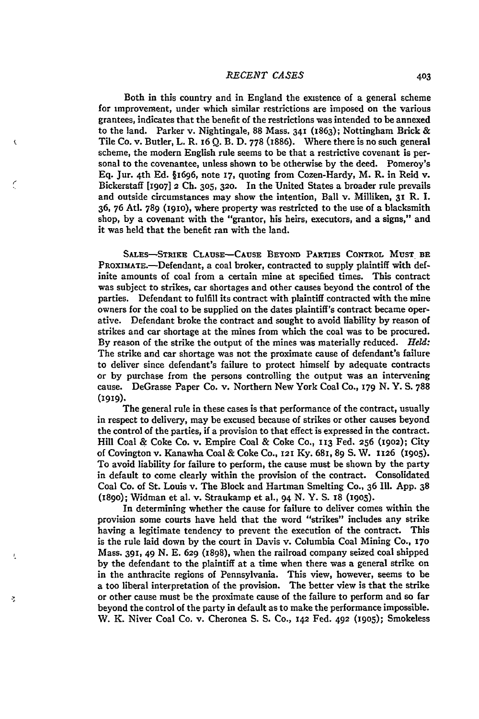Both in this country and in England the existence of a general scheme for improvement, under which similar restrictions are imposed on the various grantees, indicates that the benefit of the restrictions was intended to be annexed to the land. Parker v. Nightingale, 88 Mass. **341** (1863); Nottingham Brick & Tile Co. v. Butler, L. R. **I6** Q. B. D. 778 (1886). Where there is no such general scheme, the modern English rule seems to be that a restrictive covenant is personal to the covenantee, unless shown to be otherwise **by** the deed. Pomeroy's Eq. Jur. 4th Ed. §1696, note **17,** quoting from Cozen-Hardy, M. R. in Reid v. Bickerstaff **[1907] 2 Ch. 305, 320.** In the United States a broader rule prevails and outside circumstances may show the intention, Ball v. Milliken, **31** R. **1. 36,** 76 Atl. 789 **(I9io),** where property was restricted to the use of a blacksmith shop, by a covenant with the "grantor, his heirs, executors, and a signs," and it was held that the benefit ran with the land.

t

z,

**SALES-STRIKE CLAUSE-CAUSE BEYOND PARTIES CONTROL MUST BE** PROxIMATE.-Defendant, a coal broker, contracted to supply plaintiff with definite amounts of coal from a certain mine at specified times. This contract was subject to strikes, car shortages and other causes beyond the control of the parties. Defendant to fulfill its contract with plaintiff contracted with the mine owners for the coal to be supplied on the dates plaintiff's contract became operative. Defendant broke the contract and sought to avoid liability by reason of strikes and car shortage at the mines from which the coal was to be procured. By reason of the strike the output of the mines was materially reduced. *Held:* The strike and car shortage was not the proximate cause of defendant's failure to deliver since defendant's failure to protect himself by adequate contracts or by purchase from the persons controlling the output was an intervening cause. DeGrasse Paper Co. v. Northern New York Coal Co., **179** N. Y. **S. 788 (1919).**

The general rule in these cases is that performance of the contract, usually in respect to delivery, may be excused because of strikes or other causes beyond the control of the parties, if a provision to that effect is expressed in the contract. Hill Coal & Coke Co. v. Empire Coal & Coke Co., **113** Fed. **256** (1902); City of Covington v. Kanawha Coal & Coke Co., **121 Ky.** 681, 89 **S.** W. **1126** (I9O5). To avoid liability for failure to perform, the cause must be shown **by** the party in default to come clearly within the provision of the contract. Consolidated Coal Co. of St. Louis v. The Block and Hartman Smelting **Co.,** 36 **I1. App. 38** (I89O); Widman et al. v. Straukamp et al., 94 **N. Y. S.** 18 **(19o5).**

In determining whether the cause for failure to deliver comes within the provision some courts have held that the word "strikes" includes any strike having a legitimate tendency to prevent the execution of the contract. This is the rule laid down **by** the court in Davis v. Columbia Coal Mining Co., **170** Mass. **391,** 49 **N. E. 629 (z898),** when the railroad company seized coal shipped **by** the defendant to the plaintiff at a time when there was a general strike on in the anthracite regions of Pennsylvania. This view, however, seems to be a too liberal interpretation of the provision. The better view is that the strike or other cause must be the proximate cause of the failure to perform and so far beyond the control of the party in default as to make the performance impossible. W. K. Niver Coal Co. v. Cheronea **S. S.** Co., **142** Fed. **492 (19o5);** Smokeless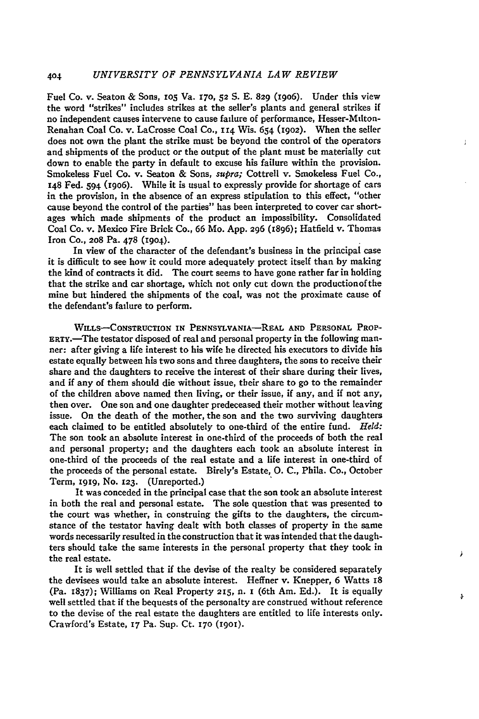Fuel Co. v. Seaton **&** Sons, io5 Va. **r70, 52 S.** E. 829 (z9o6). Under this view the word "strikes" includes strikes at the seller's plants and general strikes if no independent causes intervene to cause failure of performance, Hesser-Mdton-Renahan Coal Co. v. LaCrosse Coal Co., **114** Wis. 654 **(902).** When the seller does not own the plant the strike must be beyond the control of the operators and shipments of the product or the output of the plant must be materially cut down to enable the party in default to excuse his failure within the provision. Smokeless Fuel Co. v. Seaton **&** Sons, *supra;* Cottrell v. Smokeless Fuel Co., **148** Fed. 594 (19o6). While it is usual to expressly provide for shortage of cars in the provision, in the absence of an express stipulation to this effect, "other cause beyond the control of the parties" has been interpreted to cover car shortages which made shipments of the product an impossibility. Consolidated Coal Co. v. Mexico Fire Brick Co., 66 Mo. App. **296** (x896); Hatfield v. Thomas Iron Co., 2o8 Pa. 478 (1904).

J.

In view of the character of the defendant's business in the principal case it is difficult to see how it could more adequately protect itself than by making the kind of contracts it did. The court seems to have gone rather far in holding that the strike and car shortage, which not only cut down the productionofthe mine but hindered the shipments of the coal, was not the proximate cause of the defendant's failure to perform.

WILLS-CONSTRUCTION IN **PENNSYLVANIA-REAL AND PERSONAL** PROP-ERTY.-The testator disposed of real and personal property in the following manner: after giving a life interest to his wife he directed his executors to divide his estate equally between his two sons and three daughters, the sons to receive their share and the daughters to receive the interest of their share during their lives, and if any of them should die without issue, their share to go to the remainder of the children above named then living, or their issue, if any, and if not any, then over. One son and one daughter predeceased their mother without leaving issue. On the death of the mother, the son and the two surviving daughters each claimed to be entitled absolutely to one-third of the entire fund. *Held:* The son took an absolute interest in one-third of the proceeds of both the real and personal property; and the daughters each took an absolute interest in one-third of the proceeds of the real estate and a life interest in one-third of the proceeds of the personal estate. Birely's Estate, **0. C.,** Phila. Co., October Term, **i919,** No. **123.** (Unreported.)

It was conceded in the principal case that the son took an absolute interest in both the real and personal estate. The sole question that was presented to the court was whether, in construing the gifts to the daughters, the circumstance of the testator having dealt with both classes of property in the same words necessarily resulted in the construction that it was intended that the daughters should take the same interests in the personal property that they took in the real estate.

It is well settled that if the devise of the realty be considered separately the devisees would take an absolute interest. Heffner v. Knepper, **6** Watts **<sup>18</sup>** (Pa. 1837); Williams on Real Property **215,** n. **I** (6th Am. **Ed.). It** is equally well settled that if the bequests of the personalty are construed without reference to the devise of the real estate the daughters are entitled to life interests only. Crawford's Estate, **17** Pa. Sup. Ct. **170 (1901).**